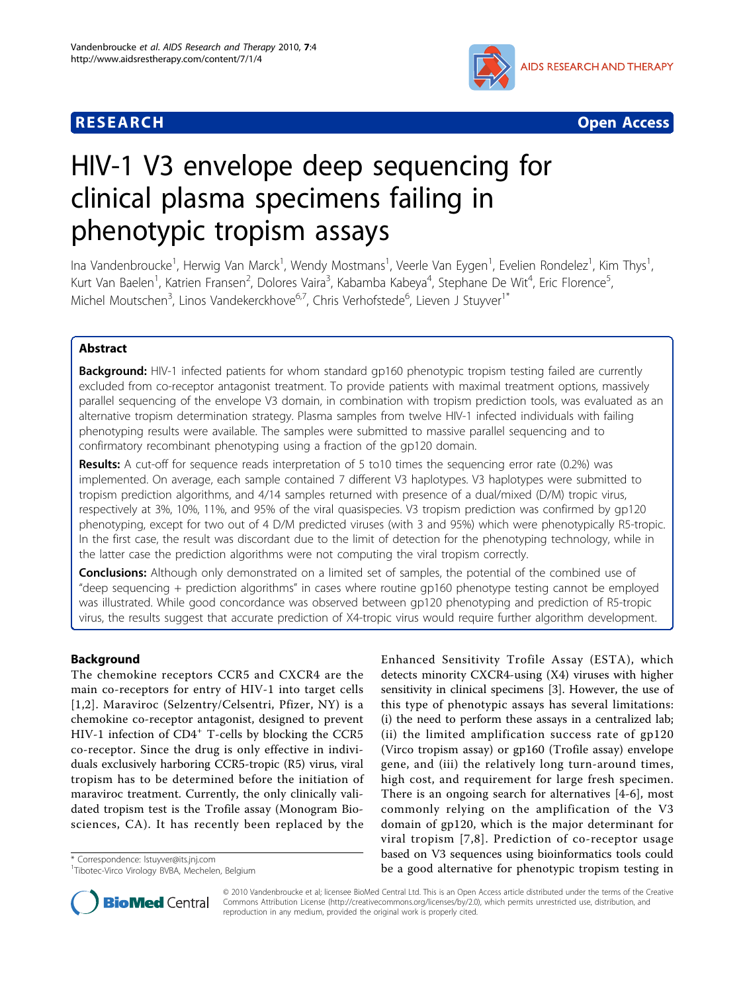



# HIV-1 V3 envelope deep sequencing for clinical plasma specimens failing in phenotypic tropism assays

Ina Vandenbroucke<sup>1</sup>, Herwig Van Marck<sup>1</sup>, Wendy Mostmans<sup>1</sup>, Veerle Van Eygen<sup>1</sup>, Evelien Rondelez<sup>1</sup>, Kim Thys<sup>1</sup> , Kurt Van Baelen<sup>1</sup>, Katrien Fransen<sup>2</sup>, Dolores Vaira<sup>3</sup>, Kabamba Kabeya<sup>4</sup>, Stephane De Wit<sup>4</sup>, Eric Florence<sup>5</sup> , Michel Moutschen<sup>3</sup>, Linos Vandekerckhove<sup>6,7</sup>, Chris Verhofstede<sup>6</sup>, Lieven J Stuyver<sup>1\*</sup>

# Abstract

Background: HIV-1 infected patients for whom standard gp160 phenotypic tropism testing failed are currently excluded from co-receptor antagonist treatment. To provide patients with maximal treatment options, massively parallel sequencing of the envelope V3 domain, in combination with tropism prediction tools, was evaluated as an alternative tropism determination strategy. Plasma samples from twelve HIV-1 infected individuals with failing phenotyping results were available. The samples were submitted to massive parallel sequencing and to confirmatory recombinant phenotyping using a fraction of the gp120 domain.

Results: A cut-off for sequence reads interpretation of 5 to10 times the sequencing error rate (0.2%) was implemented. On average, each sample contained 7 different V3 haplotypes. V3 haplotypes were submitted to tropism prediction algorithms, and 4/14 samples returned with presence of a dual/mixed (D/M) tropic virus, respectively at 3%, 10%, 11%, and 95% of the viral quasispecies. V3 tropism prediction was confirmed by gp120 phenotyping, except for two out of 4 D/M predicted viruses (with 3 and 95%) which were phenotypically R5-tropic. In the first case, the result was discordant due to the limit of detection for the phenotyping technology, while in the latter case the prediction algorithms were not computing the viral tropism correctly.

**Conclusions:** Although only demonstrated on a limited set of samples, the potential of the combined use of "deep sequencing + prediction algorithms" in cases where routine gp160 phenotype testing cannot be employed was illustrated. While good concordance was observed between gp120 phenotyping and prediction of R5-tropic virus, the results suggest that accurate prediction of X4-tropic virus would require further algorithm development.

# Background

The chemokine receptors CCR5 and CXCR4 are the main co-receptors for entry of HIV-1 into target cells [[1](#page-5-0),[2](#page-5-0)]. Maraviroc (Selzentry/Celsentri, Pfizer, NY) is a chemokine co-receptor antagonist, designed to prevent HIV-1 infection of  $CD4^+$  T-cells by blocking the CCR5 co-receptor. Since the drug is only effective in individuals exclusively harboring CCR5-tropic (R5) virus, viral tropism has to be determined before the initiation of maraviroc treatment. Currently, the only clinically validated tropism test is the Trofile assay (Monogram Biosciences, CA). It has recently been replaced by the

Enhanced Sensitivity Trofile Assay (ESTA), which detects minority CXCR4-using (X4) viruses with higher sensitivity in clinical specimens [\[3](#page-5-0)]. However, the use of this type of phenotypic assays has several limitations: (i) the need to perform these assays in a centralized lab; (ii) the limited amplification success rate of gp120 (Virco tropism assay) or gp160 (Trofile assay) envelope gene, and (iii) the relatively long turn-around times, high cost, and requirement for large fresh specimen. There is an ongoing search for alternatives [[4](#page-5-0)-[6\]](#page-5-0), most commonly relying on the amplification of the V3 domain of gp120, which is the major determinant for viral tropism [[7](#page-5-0),[8](#page-5-0)]. Prediction of co-receptor usage based on V3 sequences using bioinformatics tools could \* Correspondence: Istuyver@its.jnj.com<br>
<sup>1</sup>Tibotec-Virco Virology BVBA, Mechelen, Belgium **1990 a good alternative for phenotypic tropism testing in** 



© 2010 Vandenbroucke et al; licensee BioMed Central Ltd. This is an Open Access article distributed under the terms of the Creative Commons Attribution License [\(http://creativecommons.org/licenses/by/2.0](http://creativecommons.org/licenses/by/2.0)), which permits unrestricted use, distribution, and reproduction in any medium, provided the original work is properly cited.

<sup>1</sup> Tibotec-Virco Virology BVBA, Mechelen, Belgium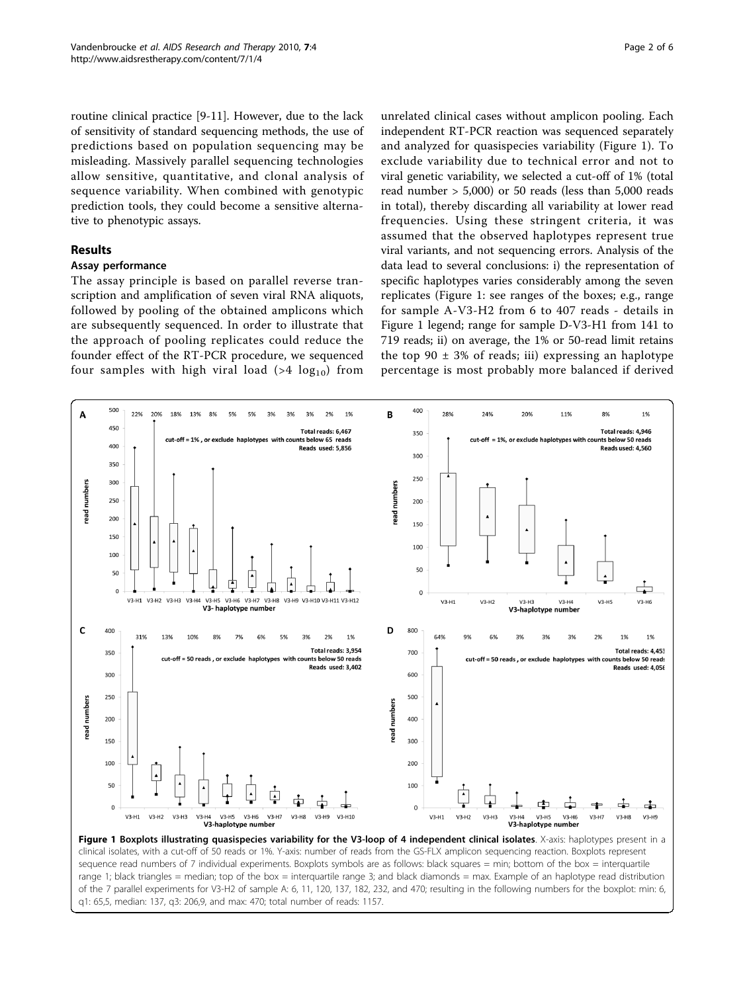<span id="page-1-0"></span>routine clinical practice [\[9-11](#page-5-0)]. However, due to the lack of sensitivity of standard sequencing methods, the use of predictions based on population sequencing may be misleading. Massively parallel sequencing technologies allow sensitive, quantitative, and clonal analysis of sequence variability. When combined with genotypic prediction tools, they could become a sensitive alternative to phenotypic assays.

### Results

# Assay performance

The assay principle is based on parallel reverse transcription and amplification of seven viral RNA aliquots, followed by pooling of the obtained amplicons which are subsequently sequenced. In order to illustrate that the approach of pooling replicates could reduce the founder effect of the RT-PCR procedure, we sequenced four samples with high viral load (>4  $log_{10}$ ) from

unrelated clinical cases without amplicon pooling. Each independent RT-PCR reaction was sequenced separately and analyzed for quasispecies variability (Figure 1). To exclude variability due to technical error and not to viral genetic variability, we selected a cut-off of 1% (total read number > 5,000) or 50 reads (less than 5,000 reads in total), thereby discarding all variability at lower read frequencies. Using these stringent criteria, it was assumed that the observed haplotypes represent true viral variants, and not sequencing errors. Analysis of the data lead to several conclusions: i) the representation of specific haplotypes varies considerably among the seven replicates (Figure 1: see ranges of the boxes; e.g., range for sample A-V3-H2 from 6 to 407 reads - details in Figure 1 legend; range for sample D-V3-H1 from 141 to 719 reads; ii) on average, the 1% or 50-read limit retains the top  $90 \pm 3\%$  of reads; iii) expressing an haplotype percentage is most probably more balanced if derived



Figure 1 Boxplots illustrating quasispecies variability for the V3-loop of 4 independent clinical isolates. X-axis: haplotypes present in a clinical isolates, with a cut-off of 50 reads or 1%. Y-axis: number of reads from the GS-FLX amplicon sequencing reaction. Boxplots represent sequence read numbers of 7 individual experiments. Boxplots symbols are as follows: black squares = min; bottom of the box = interquartile range 1; black triangles = median; top of the box = interguartile range 3; and black diamonds = max. Example of an haplotype read distribution of the 7 parallel experiments for V3-H2 of sample A: 6, 11, 120, 137, 182, 232, and 470; resulting in the following numbers for the boxplot: min: 6, q1: 65,5, median: 137, q3: 206,9, and max: 470; total number of reads: 1157.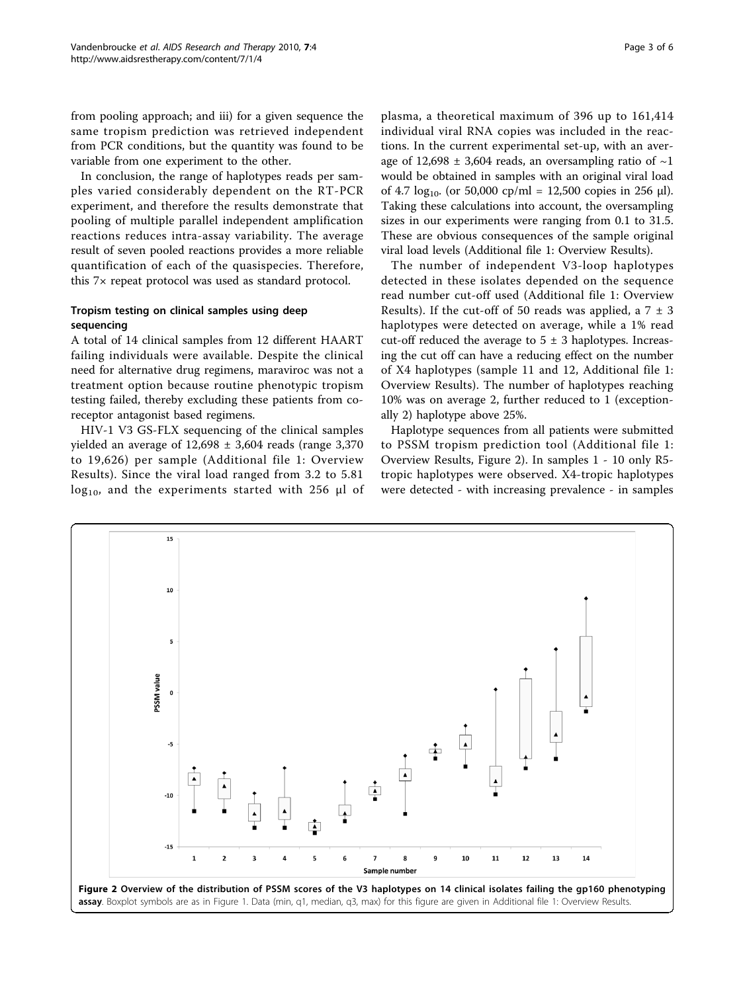from pooling approach; and iii) for a given sequence the same tropism prediction was retrieved independent from PCR conditions, but the quantity was found to be variable from one experiment to the other.

In conclusion, the range of haplotypes reads per samples varied considerably dependent on the RT-PCR experiment, and therefore the results demonstrate that pooling of multiple parallel independent amplification reactions reduces intra-assay variability. The average result of seven pooled reactions provides a more reliable quantification of each of the quasispecies. Therefore, this 7× repeat protocol was used as standard protocol.

# Tropism testing on clinical samples using deep sequencing

A total of 14 clinical samples from 12 different HAART failing individuals were available. Despite the clinical need for alternative drug regimens, maraviroc was not a treatment option because routine phenotypic tropism testing failed, thereby excluding these patients from coreceptor antagonist based regimens.

HIV-1 V3 GS-FLX sequencing of the clinical samples yielded an average of  $12,698 \pm 3,604$  reads (range 3,370 to 19,626) per sample (Additional file [1:](#page-5-0) Overview Results). Since the viral load ranged from 3.2 to 5.81  $log_{10}$ , and the experiments started with 256 μl of plasma, a theoretical maximum of 396 up to 161,414 individual viral RNA copies was included in the reactions. In the current experimental set-up, with an average of 12,698  $\pm$  3,604 reads, an oversampling ratio of  $\sim$ 1 would be obtained in samples with an original viral load of 4.7  $log_{10}$ . (or 50,000 cp/ml = 12,500 copies in 256 µl). Taking these calculations into account, the oversampling sizes in our experiments were ranging from 0.1 to 31.5. These are obvious consequences of the sample original viral load levels (Additional file [1](#page-5-0): Overview Results).

The number of independent V3-loop haplotypes detected in these isolates depended on the sequence read number cut-off used (Additional file [1:](#page-5-0) Overview Results). If the cut-off of 50 reads was applied, a  $7 \pm 3$ haplotypes were detected on average, while a 1% read cut-off reduced the average to  $5 \pm 3$  haplotypes. Increasing the cut off can have a reducing effect on the number of X4 haplotypes (sample 11 and 12, Additional file [1](#page-5-0): Overview Results). The number of haplotypes reaching 10% was on average 2, further reduced to 1 (exceptionally 2) haplotype above 25%.

Haplotype sequences from all patients were submitted to PSSM tropism prediction tool (Additional file [1](#page-5-0): Overview Results, Figure 2). In samples 1 - 10 only R5 tropic haplotypes were observed. X4-tropic haplotypes were detected - with increasing prevalence - in samples

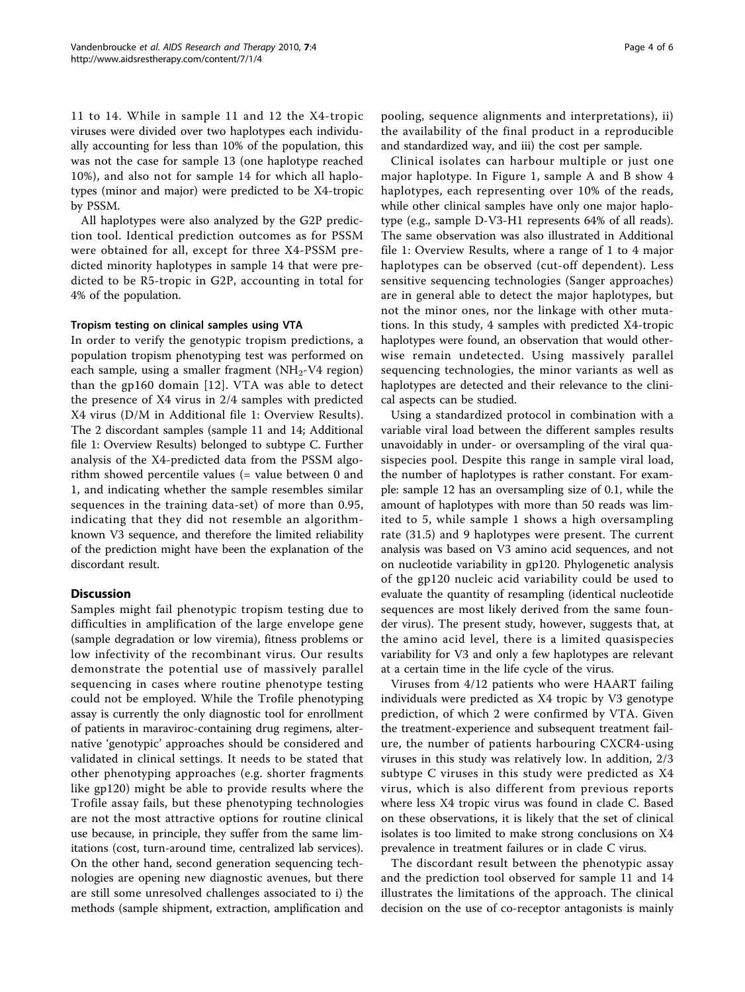11 to 14. While in sample 11 and 12 the X4-tropic viruses were divided over two haplotypes each individually accounting for less than 10% of the population, this was not the case for sample 13 (one haplotype reached 10%), and also not for sample 14 for which all haplotypes (minor and major) were predicted to be X4-tropic by PSSM.

All haplotypes were also analyzed by the G2P prediction tool. Identical prediction outcomes as for PSSM were obtained for all, except for three X4-PSSM predicted minority haplotypes in sample 14 that were predicted to be R5-tropic in G2P, accounting in total for 4% of the population.

#### Tropism testing on clinical samples using VTA

In order to verify the genotypic tropism predictions, a population tropism phenotyping test was performed on each sample, using a smaller fragment ( $NH<sub>2</sub>-V4$  region) than the gp160 domain [[12\]](#page-5-0). VTA was able to detect the presence of X4 virus in 2/4 samples with predicted X4 virus (D/M in Additional file [1:](#page-5-0) Overview Results). The 2 discordant samples (sample 11 and 14; Additional file [1](#page-5-0): Overview Results) belonged to subtype C. Further analysis of the X4-predicted data from the PSSM algorithm showed percentile values (= value between 0 and 1, and indicating whether the sample resembles similar sequences in the training data-set) of more than 0.95, indicating that they did not resemble an algorithmknown V3 sequence, and therefore the limited reliability of the prediction might have been the explanation of the discordant result.

### **Discussion**

Samples might fail phenotypic tropism testing due to difficulties in amplification of the large envelope gene (sample degradation or low viremia), fitness problems or low infectivity of the recombinant virus. Our results demonstrate the potential use of massively parallel sequencing in cases where routine phenotype testing could not be employed. While the Trofile phenotyping assay is currently the only diagnostic tool for enrollment of patients in maraviroc-containing drug regimens, alternative 'genotypic' approaches should be considered and validated in clinical settings. It needs to be stated that other phenotyping approaches (e.g. shorter fragments like gp120) might be able to provide results where the Trofile assay fails, but these phenotyping technologies are not the most attractive options for routine clinical use because, in principle, they suffer from the same limitations (cost, turn-around time, centralized lab services). On the other hand, second generation sequencing technologies are opening new diagnostic avenues, but there are still some unresolved challenges associated to i) the methods (sample shipment, extraction, amplification and pooling, sequence alignments and interpretations), ii) the availability of the final product in a reproducible and standardized way, and iii) the cost per sample.

Clinical isolates can harbour multiple or just one major haplotype. In Figure [1](#page-1-0), sample A and B show 4 haplotypes, each representing over 10% of the reads, while other clinical samples have only one major haplotype (e.g., sample D-V3-H1 represents 64% of all reads). The same observation was also illustrated in Additional file [1](#page-5-0): Overview Results, where a range of 1 to 4 major haplotypes can be observed (cut-off dependent). Less sensitive sequencing technologies (Sanger approaches) are in general able to detect the major haplotypes, but not the minor ones, nor the linkage with other mutations. In this study, 4 samples with predicted X4-tropic haplotypes were found, an observation that would otherwise remain undetected. Using massively parallel sequencing technologies, the minor variants as well as haplotypes are detected and their relevance to the clinical aspects can be studied.

Using a standardized protocol in combination with a variable viral load between the different samples results unavoidably in under- or oversampling of the viral quasispecies pool. Despite this range in sample viral load, the number of haplotypes is rather constant. For example: sample 12 has an oversampling size of 0.1, while the amount of haplotypes with more than 50 reads was limited to 5, while sample 1 shows a high oversampling rate (31.5) and 9 haplotypes were present. The current analysis was based on V3 amino acid sequences, and not on nucleotide variability in gp120. Phylogenetic analysis of the gp120 nucleic acid variability could be used to evaluate the quantity of resampling (identical nucleotide sequences are most likely derived from the same founder virus). The present study, however, suggests that, at the amino acid level, there is a limited quasispecies variability for V3 and only a few haplotypes are relevant at a certain time in the life cycle of the virus.

Viruses from 4/12 patients who were HAART failing individuals were predicted as X4 tropic by V3 genotype prediction, of which 2 were confirmed by VTA. Given the treatment-experience and subsequent treatment failure, the number of patients harbouring CXCR4-using viruses in this study was relatively low. In addition, 2/3 subtype C viruses in this study were predicted as X4 virus, which is also different from previous reports where less X4 tropic virus was found in clade C. Based on these observations, it is likely that the set of clinical isolates is too limited to make strong conclusions on X4 prevalence in treatment failures or in clade C virus.

The discordant result between the phenotypic assay and the prediction tool observed for sample 11 and 14 illustrates the limitations of the approach. The clinical decision on the use of co-receptor antagonists is mainly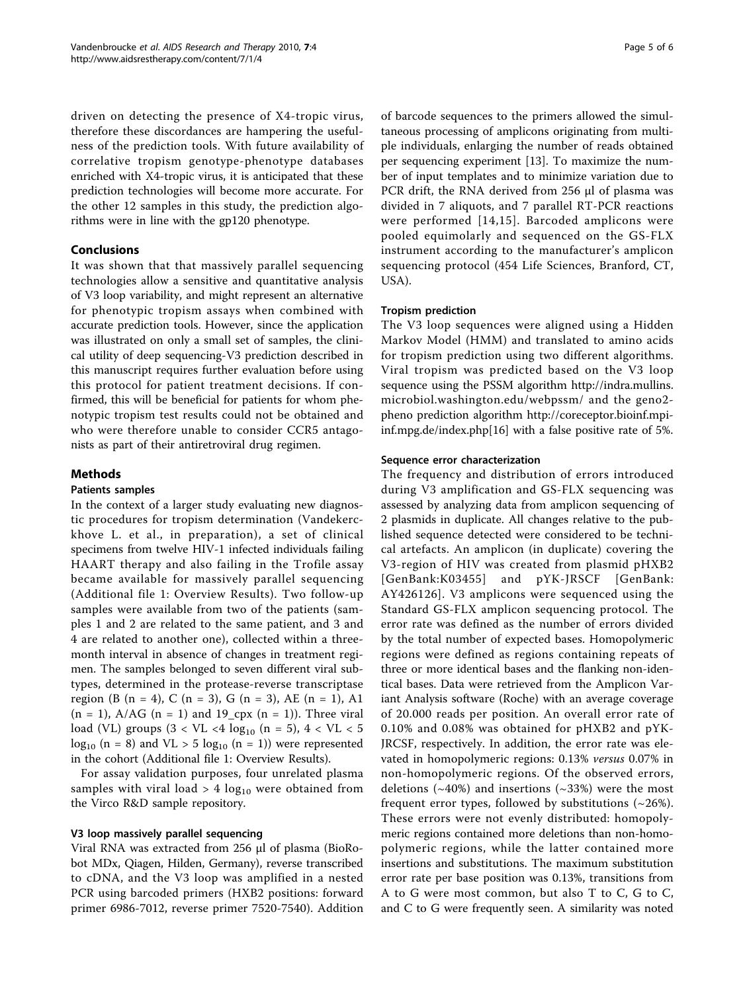driven on detecting the presence of X4-tropic virus, therefore these discordances are hampering the usefulness of the prediction tools. With future availability of correlative tropism genotype-phenotype databases enriched with X4-tropic virus, it is anticipated that these prediction technologies will become more accurate. For the other 12 samples in this study, the prediction algorithms were in line with the gp120 phenotype.

# Conclusions

It was shown that that massively parallel sequencing technologies allow a sensitive and quantitative analysis of V3 loop variability, and might represent an alternative for phenotypic tropism assays when combined with accurate prediction tools. However, since the application was illustrated on only a small set of samples, the clinical utility of deep sequencing-V3 prediction described in this manuscript requires further evaluation before using this protocol for patient treatment decisions. If confirmed, this will be beneficial for patients for whom phenotypic tropism test results could not be obtained and who were therefore unable to consider CCR5 antagonists as part of their antiretroviral drug regimen.

# Methods

#### Patients samples

In the context of a larger study evaluating new diagnostic procedures for tropism determination (Vandekerckhove L. et al., in preparation), a set of clinical specimens from twelve HIV-1 infected individuals failing HAART therapy and also failing in the Trofile assay became available for massively parallel sequencing (Additional file [1](#page-5-0): Overview Results). Two follow-up samples were available from two of the patients (samples 1 and 2 are related to the same patient, and 3 and 4 are related to another one), collected within a threemonth interval in absence of changes in treatment regimen. The samples belonged to seven different viral subtypes, determined in the protease-reverse transcriptase region (B (n = 4), C (n = 3), G (n = 3), AE (n = 1), A1  $(n = 1)$ , A/AG  $(n = 1)$  and 19<sub>cpx</sub>  $(n = 1)$ ). Three viral load (VL) groups  $(3 < VI < 4 \log_{10} (n = 5), 4 < VI < 5$  $log_{10}$  (n = 8) and VL > 5  $log_{10}$  (n = 1)) were represented in the cohort (Additional file [1:](#page-5-0) Overview Results).

For assay validation purposes, four unrelated plasma samples with viral load  $> 4 \log_{10}$  were obtained from the Virco R&D sample repository.

### V3 loop massively parallel sequencing

Viral RNA was extracted from 256 μl of plasma (BioRobot MDx, Qiagen, Hilden, Germany), reverse transcribed to cDNA, and the V3 loop was amplified in a nested PCR using barcoded primers (HXB2 positions: forward primer 6986-7012, reverse primer 7520-7540). Addition of barcode sequences to the primers allowed the simultaneous processing of amplicons originating from multiple individuals, enlarging the number of reads obtained per sequencing experiment [\[13](#page-5-0)]. To maximize the number of input templates and to minimize variation due to PCR drift, the RNA derived from 256 μl of plasma was divided in 7 aliquots, and 7 parallel RT-PCR reactions were performed [[14,15\]](#page-5-0). Barcoded amplicons were pooled equimolarly and sequenced on the GS-FLX instrument according to the manufacturer's amplicon sequencing protocol (454 Life Sciences, Branford, CT, USA).

### Tropism prediction

The V3 loop sequences were aligned using a Hidden Markov Model (HMM) and translated to amino acids for tropism prediction using two different algorithms. Viral tropism was predicted based on the V3 loop sequence using the PSSM algorithm [http://indra.mullins.](http://indra.mullins.microbiol.washington.edu/webpssm/) [microbiol.washington.edu/webpssm/](http://indra.mullins.microbiol.washington.edu/webpssm/) and the geno2 pheno prediction algorithm [http://coreceptor.bioinf.mpi](http://coreceptor.bioinf.mpi-inf.mpg.de/index.php)[inf.mpg.de/index.php\[](http://coreceptor.bioinf.mpi-inf.mpg.de/index.php)[16\]](#page-5-0) with a false positive rate of 5%.

#### Sequence error characterization

The frequency and distribution of errors introduced during V3 amplification and GS-FLX sequencing was assessed by analyzing data from amplicon sequencing of 2 plasmids in duplicate. All changes relative to the published sequence detected were considered to be technical artefacts. An amplicon (in duplicate) covering the V3-region of HIV was created from plasmid pHXB2 [GenBank:K03455] and pYK-JRSCF [GenBank: AY426126]. V3 amplicons were sequenced using the Standard GS-FLX amplicon sequencing protocol. The error rate was defined as the number of errors divided by the total number of expected bases. Homopolymeric regions were defined as regions containing repeats of three or more identical bases and the flanking non-identical bases. Data were retrieved from the Amplicon Variant Analysis software (Roche) with an average coverage of 20.000 reads per position. An overall error rate of 0.10% and 0.08% was obtained for pHXB2 and pYK-JRCSF, respectively. In addition, the error rate was elevated in homopolymeric regions: 0.13% versus 0.07% in non-homopolymeric regions. Of the observed errors, deletions  $(\sim 40\%)$  and insertions  $(\sim 33\%)$  were the most frequent error types, followed by substitutions  $(-26%)$ . These errors were not evenly distributed: homopolymeric regions contained more deletions than non-homopolymeric regions, while the latter contained more insertions and substitutions. The maximum substitution error rate per base position was 0.13%, transitions from A to G were most common, but also T to C, G to C, and C to G were frequently seen. A similarity was noted